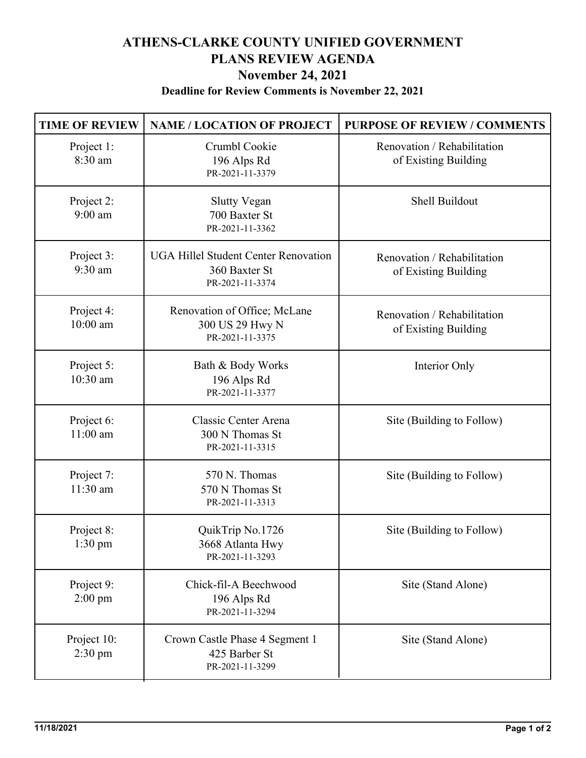## **ATHENS-CLARKE COUNTY UNIFIED GOVERNMENT PLANS REVIEW AGENDA November 24, 2021**

## **Deadline for Review Comments is November 22, 2021**

| <b>TIME OF REVIEW</b>            | <b>NAME / LOCATION OF PROJECT</b>                                               | <b>PURPOSE OF REVIEW / COMMENTS</b>                 |
|----------------------------------|---------------------------------------------------------------------------------|-----------------------------------------------------|
| Project 1:<br>8:30 am            | Crumbl Cookie<br>196 Alps Rd<br>PR-2021-11-3379                                 | Renovation / Rehabilitation<br>of Existing Building |
| Project 2:<br>$9:00$ am          | <b>Slutty Vegan</b><br>700 Baxter St<br>PR-2021-11-3362                         | Shell Buildout                                      |
| Project 3:<br>9:30 am            | <b>UGA Hillel Student Center Renovation</b><br>360 Baxter St<br>PR-2021-11-3374 | Renovation / Rehabilitation<br>of Existing Building |
| Project 4:<br>$10:00$ am         | Renovation of Office; McLane<br>300 US 29 Hwy N<br>PR-2021-11-3375              | Renovation / Rehabilitation<br>of Existing Building |
| Project 5:<br>10:30 am           | Bath & Body Works<br>196 Alps Rd<br>PR-2021-11-3377                             | Interior Only                                       |
| Project 6:<br>$11:00$ am         | Classic Center Arena<br>300 N Thomas St<br>PR-2021-11-3315                      | Site (Building to Follow)                           |
| Project 7:<br>11:30 am           | 570 N. Thomas<br>570 N Thomas St<br>PR-2021-11-3313                             | Site (Building to Follow)                           |
| Project 8:<br>$1:30$ pm          | QuikTrip No.1726<br>3668 Atlanta Hwy<br>PR-2021-11-3293                         | Site (Building to Follow)                           |
| Project 9:<br>$2:00 \text{ pm}$  | Chick-fil-A Beechwood<br>196 Alps Rd<br>PR-2021-11-3294                         | Site (Stand Alone)                                  |
| Project 10:<br>$2:30 \text{ pm}$ | Crown Castle Phase 4 Segment 1<br>425 Barber St<br>PR-2021-11-3299              | Site (Stand Alone)                                  |